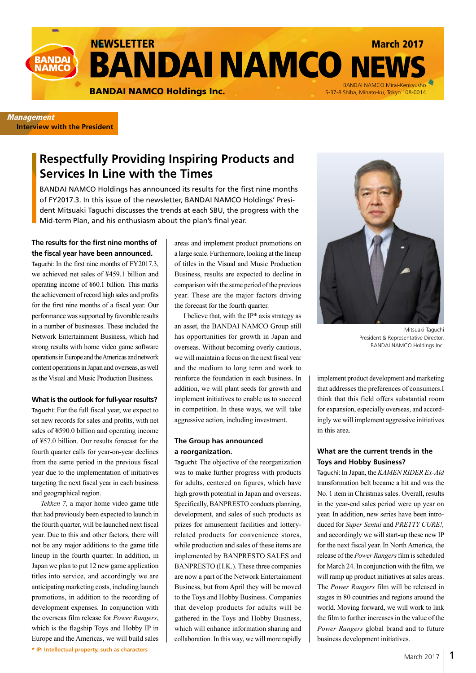

**Management Interview with the President**

# **Respectfully Providing Inspiring Products and Services In Line with the Times**

BANDAI NAMCO Holdings has announced its results for the first nine months of FY2017.3. In this issue of the newsletter, BANDAI NAMCO Holdings' President Mitsuaki Taguchi discusses the trends at each SBU, the progress with the Mid-term Plan, and his enthusiasm about the plan's final year.

# **The results for the first nine months of the fiscal year have been announced.**

Taguchi: In the first nine months of FY2017.3, we achieved net sales of ¥459.1 billion and operating income of ¥60.1 billion. This marks the achievement of record high sales and profits for the first nine months of a fiscal year. Our performance was supported by favorable results in a number of businesses. These included the Network Entertainment Business, which had strong results with home video game software operations in Europe and the Americas and network content operations in Japan and overseas, as well as the Visual and Music Production Business.

#### **What is the outlook for full-year results?**

Taguchi: For the full fiscal year, we expect to set new records for sales and profits, with net sales of ¥590.0 billion and operating income of ¥57.0 billion. Our results forecast for the fourth quarter calls for year-on-year declines from the same period in the previous fiscal year due to the implementation of initiatives targeting the next fiscal year in each business and geographical region.

**\* IP: Intellectual property, such as characters** *Tekken 7*, a major home video game title that had previously been expected to launch in the fourth quarter, will be launched next fiscal year. Due to this and other factors, there will not be any major additions to the game title lineup in the fourth quarter. In addition, in Japan we plan to put 12 new game application titles into service, and accordingly we are anticipating marketing costs, including launch promotions, in addition to the recording of development expenses. In conjunction with the overseas film release for *Power Rangers*, which is the flagship Toys and Hobby IP in Europe and the Americas, we will build sales areas and implement product promotions on a large scale. Furthermore, looking at the lineup of titles in the Visual and Music Production Business, results are expected to decline in comparison with the same period of the previous year. These are the major factors driving the forecast for the fourth quarter.

I believe that, with the  $IP*$  axis strategy as an asset, the BANDAI NAMCO Group still has opportunities for growth in Japan and overseas. Without becoming overly cautious, we will maintain a focus on the next fiscal year and the medium to long term and work to reinforce the foundation in each business. In addition, we will plant seeds for growth and implement initiatives to enable us to succeed in competition. In these ways, we will take aggressive action, including investment.

### **The Group has announced a reorganization.**

Taguchi: The objective of the reorganization was to make further progress with products for adults, centered on figures, which have high growth potential in Japan and overseas. Specifically, BANPRESTO conducts planning, development, and sales of such products as prizes for amusement facilities and lotteryrelated products for convenience stores, while production and sales of these items are implemented by BANPRESTO SALES and BANPRESTO (H.K.). These three companies are now a part of the Network Entertainment Business, but from April they will be moved to the Toys and Hobby Business. Companies that develop products for adults will be gathered in the Toys and Hobby Business, which will enhance information sharing and collaboration. In this way, we will more rapidly



Mitsuaki Taguchi President & Representative Director, BANDAI NAMCO Holdings Inc.

implement product development and marketing that addresses the preferences of consumers.I think that this field offers substantial room for expansion, especially overseas, and accordingly we will implement aggressive initiatives in this area.

# **What are the current trends in the Toys and Hobby Business?**

Taguchi: In Japan, the *KAMEN RIDER Ex-Aid* transformation belt became a hit and was the No. 1 item in Christmas sales. Overall, results in the year-end sales period were up year on year. In addition, new series have been introduced for *Super Sentai* and *PRETTY CURE!,* and accordingly we will start-up these new IP for the next fiscal year. In North America, the release of the *Power Rangers* film is scheduled for March 24. In conjunction with the film, we will ramp up product initiatives at sales areas. The *Power Rangers* film will be released in stages in 80 countries and regions around the world. Moving forward, we will work to link the film to further increases in the value of the *Power Rangers* global brand and to future business development initiatives.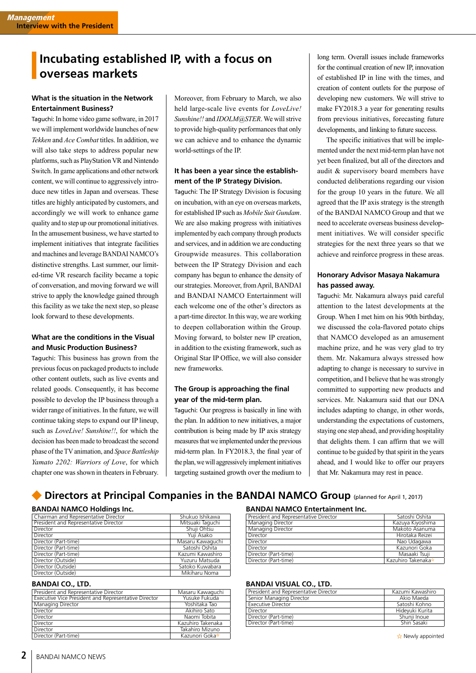# **Incubating established IP, with a focus on overseas markets**

# **What is the situation in the Network Entertainment Business?**

Taguchi: In home video game software, in 2017 we will implement worldwide launches of new *Tekken* and *Ace Combat* titles. In addition, we will also take steps to address popular new platforms, such as PlayStation VR and Nintendo Switch. In game applications and other network content, we will continue to aggressively introduce new titles in Japan and overseas. These titles are highly anticipated by customers, and accordingly we will work to enhance game quality and to step up our promotional initiatives. In the amusement business, we have started to implement initiatives that integrate facilities and machines and leverage BANDAI NAMCO's distinctive strengths. Last summer, our limited-time VR research facility became a topic of conversation, and moving forward we will strive to apply the knowledge gained through this facility as we take the next step, so please look forward to these developments.

# **What are the conditions in the Visual and Music Production Business?**

Taguchi: This business has grown from the previous focus on packaged products to include other content outlets, such as live events and related goods. Consequently, it has become possible to develop the IP business through a wider range of initiatives. In the future, we will continue taking steps to expand our IP lineup, such as *LoveLive! Sunshine!!*, for which the decision has been made to broadcast the second phase of the TV animation, and *Space Battleship Yamato 2202: Warriors of Love*, for which chapter one was shown in theaters in February.

Moreover, from February to March, we also held large-scale live events for *LoveLive! Sunshine!!* and *IDOLM@STER*. We will strive to provide high-quality performances that only we can achieve and to enhance the dynamic world-settings of the IP.

# **It has been a year since the establishment of the IP Strategy Division.**

Taguchi: The IP Strategy Division is focusing on incubation, with an eye on overseas markets, for established IP such as *Mobile Suit Gundam*. We are also making progress with initiatives implemented by each company through products and services, and in addition we are conducting Groupwide measures. This collaboration between the IP Strategy Division and each company has begun to enhance the density of our strategies. Moreover, from April, BANDAI and BANDAI NAMCO Entertainment will each welcome one of the other's directors as a part-time director. In this way, we are working to deepen collaboration within the Group. Moving forward, to bolster new IP creation, in addition to the existing framework, such as Original Star IP Office, we will also consider new frameworks.

# **The Group is approaching the final year of the mid-term plan.**

Taguchi: Our progress is basically in line with the plan. In addition to new initiatives, a major contribution is being made by IP axis strategy measures that we implemented under the previous mid-term plan. In FY2018.3, the final year of the plan, we will aggressively implement initiatives targeting sustained growth over the medium to long term. Overall issues include frameworks for the continual creation of new IP, innovation of established IP in line with the times, and creation of content outlets for the purpose of developing new customers. We will strive to make FY2018.3 a year for generating results from previous initiatives, forecasting future developments, and linking to future success.

The specific initiatives that will be implemented under the next mid-term plan have not yet been finalized, but all of the directors and audit & supervisory board members have conducted deliberations regarding our vision for the group 10 years in the future. We all agreed that the IP axis strategy is the strength of the BANDAI NAMCO Group and that we need to accelerate overseas business development initiatives. We will consider specific strategies for the next three years so that we achieve and reinforce progress in these areas.

# **Honorary Advisor Masaya Nakamura has passed away.**

Taguchi: Mr. Nakamura always paid careful attention to the latest developments at the Group. When I met him on his 90th birthday, we discussed the cola-flavored potato chips that NAMCO developed as an amusement machine prize, and he was very glad to try them. Mr. Nakamura always stressed how adapting to change is necessary to survive in competition, and I believe that he was strongly committed to supporting new products and services. Mr. Nakamura said that our DNA includes adapting to change, in other words, understanding the expectations of customers, staying one step ahead, and providing hospitality that delights them. I can affirm that we will continue to be guided by that spirit in the years ahead, and I would like to offer our prayers that Mr. Nakamura may rest in peace.

# **• Directors at Principal Companies in the BANDAI NAMCO Group** (planned for April 1, 2017)

### **BANDAI NAMCO Holdings Inc.**

| Chairman and Representative Director  | Shukuo Ishikawa  |
|---------------------------------------|------------------|
| President and Representative Director | Mitsuaki Taguchi |
| Director                              | Shuii Ohtsu      |
| Director                              | Yuji Asako       |
| Director (Part-time)                  | Masaru Kawaguchi |
| Director (Part-time)                  | Satoshi Oshita   |
| Director (Part-time)                  | Kazumi Kawashiro |
| Director (Outside)                    | Yuzuru Matsuda   |
| Director (Outside)                    | Satoko Kuwabara  |
| Director (Outside)                    | Mikiharu Noma    |

### **BANDAI CO., LTD.**

| President and Representative Director                | Masaru Kawaguchi  |
|------------------------------------------------------|-------------------|
| Executive Vice President and Representative Director | Yusuke Fukuda     |
| Managing Director                                    | Yoshitaka Tao     |
| Director                                             | Akihiro Sato      |
| Director                                             | Naomi Tobita      |
| Director                                             | Kazuhiro Takenaka |
| Director                                             | Takahiro Mizuno   |
| Director (Part-time)                                 | Kazunori Goka*    |

### **BANDAI NAMCO Entertainment Inc.**

| President and Representative Director | Satoshi Oshita     |
|---------------------------------------|--------------------|
| Managing Director                     | Kazuya Kiyoshima   |
| Managing Director                     | Makoto Asanuma     |
| Director                              | Hirotaka Reizei    |
| Director                              | Nao Udagawa        |
| Director                              | Kazunori Goka      |
| Director (Part-time)                  | Masaaki Tsuii      |
| Director (Part-time)                  | Kazuhiro Takenaka* |

# **BANDAI VISUAL CO., LTD.**

| President and Representative Director | Kazumi Kawashiro |
|---------------------------------------|------------------|
| Senior Managing Director              | Akio Maeda       |
| <b>Executive Director</b>             | Satoshi Kohno    |
| Director                              | Hideyuki Kurita  |
| Director (Part-time)                  | Shunii Inoue     |
| Director (Part-time)                  | Shin Sasaki      |
|                                       |                  |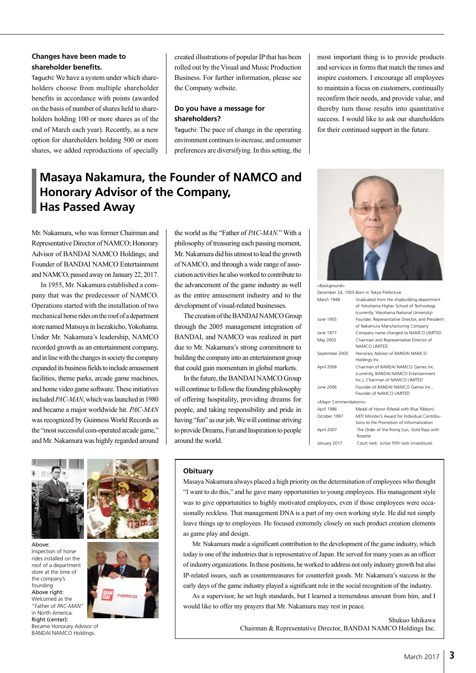### **Changes have been made to shareholder benefits.**

Taguchi: We have a system under which shareholders choose from multiple shareholder benefits in accordance with points (awarded on the basis of number of shares held to shareholders holding 100 or more shares as of the end of March each year). Recently, as a new option for shareholders holding 500 or more shares, we added reproductions of specially

created illustrations of popular IP that has been rolled out by the Visual and Music Production Business. For further information, please see the Company website.

# **Do you have a message for shareholders?**

Taguchi: The pace of change in the operating environment continues to increase, and consumer preferences are diversifying. In this setting, the

# **Masaya Nakamura, the Founder of NAMCO and Honorary Advisor of the Company, Has Passed Away**

Mr. Nakamura, who was former Chairman and Representative Director of NAMCO; Honorary Advisor of BANDAI NAMCO Holdings; and Founder of BANDAI NAMCO Entertainment and NAMCO, passed away on January 22, 2017.

In 1955, Mr. Nakamura established a company that was the predecessor of NAMCO. Operations started with the installation of two mechanical horse rides on the roof of a department store named Matsuya in Isezakicho, Yokohama. Under Mr. Nakamura's leadership, NAMCO recorded growth as an entertainment company, and in line with the changes in society the company expanded its business fields to include amusement facilities, theme parks, arcade game machines, and home video game software. These initiatives included *PAC-MAN*, which was launched in 1980 and became a major worldwide hit. *PAC-MAN* was recognized by Guinness World Records as the "most successful coin-operated arcade game," and Mr. Nakamura was highly regarded around



Became Honorary Advisor of BANDAI NAMCO Holdings.



the world as the "Father of *PAC-MAN*." With a philosophy of treasuring each passing moment, Mr. Nakamura did his utmost to lead the growth of NAMCO, and through a wide range of association activities he also worked to contribute to the advancement of the game industry as well as the entire amusement industry and to the development of visual-related businesses.

The creation of the BANDAI NAMCO Group through the 2005 management integration of BANDAI, and NAMCO was realized in part due to Mr. Nakamura's strong commitment to building the company into an entertainment group that could gain momentum in global markets.

In the future, the BANDAI NAMCO Group will continue to follow the founding philosophy of offering hospitality, providing dreams for people, and taking responsibility and pride in having "fun" as our job. We will continue striving to provide Dreams, Fun and Inspiration to people around the world.

most important thing is to provide products and services in forms that match the times and inspire customers. I encourage all employees to maintain a focus on customers, continually reconfirm their needs, and provide value, and thereby turn those results into quantitative success. I would like to ask our shareholders for their continued support in the future.



<Background>

|                                  | December 24, 1925 Born in Tokyo Prefecture                                                                                         |
|----------------------------------|------------------------------------------------------------------------------------------------------------------------------------|
| March 1948                       | Graduated from the shipbuilding department<br>of Yokohama Higher School of Technology<br>(currently, Yokohama National University) |
| June 1955                        | Founder, Representative Director, and President<br>of Nakamura Manufacturing Company                                               |
| June 1977                        | Company name changed to NAMCO LIMITED                                                                                              |
| May 2002                         | Chairman and Representative Director of<br>NAMCO LIMITED                                                                           |
| September 2005                   | Honorary Advisor of BANDAI NAMCO<br>Holdings Inc.                                                                                  |
| April 2006                       | Chairman of BANDAI NAMCO Games Inc.<br>(currently, BANDAI NAMCO Entertainment<br>Inc.), Chairman of NAMCO LIMITED                  |
| June 2006                        | Founder of BANDAI NAMCO Games Inc.,<br>Founder of NAMCO LIMITED                                                                    |
| <major commendations=""></major> |                                                                                                                                    |
| April 1986                       | Medal of Honor (Medal with Blue Ribbon)                                                                                            |
| October 1997                     | MITI Minister's Award for Individual Contribu-<br>tions to the Promotion of Informatization                                        |
| April 2007                       | The Order of the Rising Sun, Gold Rays with<br>Rosette                                                                             |
| January 2017                     | Court rank: Junior fifth rank (investiture)                                                                                        |

#### **Obituary**

Masaya Nakamura always placed a high priority on the determination of employees who thought "I want to do this," and he gave many opportunities to young employees. His management style was to give opportunities to highly motivated employees, even if those employees were occasionally reckless. That management DNA is a part of my own working style. He did not simply leave things up to employees. He focused extremely closely on such product creation elements as game play and design.

Mr. Nakamura made a significant contribution to the development of the game industry, which today is one of the industries that is representative of Japan. He served for many years as an officer of industry organizations. In these positions, he worked to address not only industry growth but also IP-related issues, such as countermeasures for counterfeit goods. Mr. Nakamura's success in the early days of the game industry played a significant role in the social recognition of the industry.

As a supervisor, he set high standards, but I learned a tremendous amount from him, and I would like to offer my prayers that Mr. Nakamura may rest in peace.

#### Shukuo Ishikawa Chairman & Representative Director, BANDAI NAMCO Holdings Inc.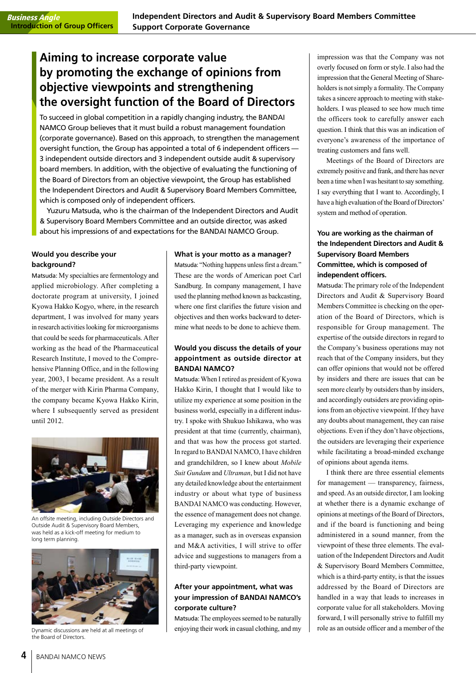# **Aiming to increase corporate value by promoting the exchange of opinions from objective viewpoints and strengthening the oversight function of the Board of Directors**

To succeed in global competition in a rapidly changing industry, the BANDAI NAMCO Group believes that it must build a robust management foundation (corporate governance). Based on this approach, to strengthen the management oversight function, the Group has appointed a total of 6 independent officers — 3 independent outside directors and 3 independent outside audit & supervisory board members. In addition, with the objective of evaluating the functioning of the Board of Directors from an objective viewpoint, the Group has established the Independent Directors and Audit & Supervisory Board Members Committee, which is composed only of independent officers.

Yuzuru Matsuda, who is the chairman of the Independent Directors and Audit & Supervisory Board Members Committee and an outside director, was asked about his impressions of and expectations for the BANDAI NAMCO Group.

# **Would you describe your background?**

Matsuda: My specialties are fermentology and applied microbiology. After completing a doctorate program at university, I joined Kyowa Hakko Kogyo, where, in the research department, I was involved for many years in research activities looking for microorganisms that could be seeds for pharmaceuticals. After working as the head of the Pharmaceutical Research Institute, I moved to the Comprehensive Planning Office, and in the following year, 2003, I became president. As a result of the merger with Kirin Pharma Company, the company became Kyowa Hakko Kirin, where I subsequently served as president until 2012.



An offsite meeting, including Outside Directors and Outside Audit & Supervisory Board Members, was held as a kick-off meeting for medium to long term planning.



Dynamic discussions are held at all meetings of the Board of Directors.

#### **What is your motto as a manager?**

Matsuda: "Nothing happens unless first a dream." These are the words of American poet Carl Sandburg. In company management, I have used the planning method known as backcasting, where one first clarifies the future vision and objectives and then works backward to determine what needs to be done to achieve them.

# **Would you discuss the details of your appointment as outside director at BANDAI NAMCO?**

Matsuda: When I retired as president of Kyowa Hakko Kirin, I thought that I would like to utilize my experience at some position in the business world, especially in a different industry. I spoke with Shukuo Ishikawa, who was president at that time (currently, chairman), and that was how the process got started. In regard to BANDAI NAMCO, I have children and grandchildren, so I knew about *Mobile Suit Gundam* and *Ultraman*, but I did not have any detailed knowledge about the entertainment industry or about what type of business BANDAI NAMCO was conducting. However, the essence of management does not change. Leveraging my experience and knowledge as a manager, such as in overseas expansion and M&A activities, I will strive to offer advice and suggestions to managers from a third-party viewpoint.

# **After your appointment, what was your impression of BANDAI NAMCO's corporate culture?**

Matsuda: The employees seemed to be naturally enjoying their work in casual clothing, and my impression was that the Company was not overly focused on form or style. I also had the impression that the General Meeting of Shareholders is not simply a formality. The Company takes a sincere approach to meeting with stakeholders. I was pleased to see how much time the officers took to carefully answer each question. I think that this was an indication of everyone's awareness of the importance of treating customers and fans well.

Meetings of the Board of Directors are extremely positive and frank, and there has never been a time when I was hesitant to say something. I say everything that I want to. Accordingly, I have a high evaluation of the Board of Directors' system and method of operation.

# **You are working as the chairman of the Independent Directors and Audit & Supervisory Board Members Committee, which is composed of independent officers.**

Matsuda: The primary role of the Independent Directors and Audit & Supervisory Board Members Committee is checking on the operation of the Board of Directors, which is responsible for Group management. The expertise of the outside directors in regard to the Company's business operations may not reach that of the Company insiders, but they can offer opinions that would not be offered by insiders and there are issues that can be seen more clearly by outsiders than by insiders, and accordingly outsiders are providing opinions from an objective viewpoint. If they have any doubts about management, they can raise objections. Even if they don't have objections, the outsiders are leveraging their experience while facilitating a broad-minded exchange of opinions about agenda items.

I think there are three essential elements for management — transparency, fairness, and speed. As an outside director, I am looking at whether there is a dynamic exchange of opinions at meetings of the Board of Directors, and if the board is functioning and being administered in a sound manner, from the viewpoint of these three elements. The evaluation of the Independent Directors and Audit & Supervisory Board Members Committee, which is a third-party entity, is that the issues addressed by the Board of Directors are handled in a way that leads to increases in corporate value for all stakeholders. Moving forward, I will personally strive to fulfill my role as an outside officer and a member of the